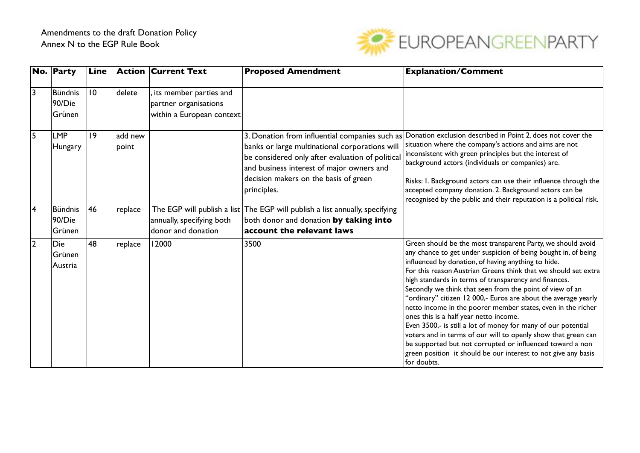

|                | No. Party                          | Line |                   | <b>Action Current Text</b>                                                   | <b>Proposed Amendment</b>                                                                                                                                                                               | <b>Explanation/Comment</b>                                                                                                                                                                                                                                                                                                                                                                                                                                                                                                                                                                                                                                                                                                                                                                                                              |
|----------------|------------------------------------|------|-------------------|------------------------------------------------------------------------------|---------------------------------------------------------------------------------------------------------------------------------------------------------------------------------------------------------|-----------------------------------------------------------------------------------------------------------------------------------------------------------------------------------------------------------------------------------------------------------------------------------------------------------------------------------------------------------------------------------------------------------------------------------------------------------------------------------------------------------------------------------------------------------------------------------------------------------------------------------------------------------------------------------------------------------------------------------------------------------------------------------------------------------------------------------------|
| 3              | <b>Bündnis</b><br>90/Die<br>Grünen | 10   | delete            | its member parties and<br>partner organisations<br>within a European context |                                                                                                                                                                                                         |                                                                                                                                                                                                                                                                                                                                                                                                                                                                                                                                                                                                                                                                                                                                                                                                                                         |
| 5              | <b>LMP</b><br>Hungary              | 9    | ladd new<br>point |                                                                              | banks or large multinational corporations will<br>be considered only after evaluation of political<br>and business interest of major owners and<br>decision makers on the basis of green<br>principles. | 3. Donation from influential companies such as Donation exclusion described in Point 2. does not cover the<br>situation where the company's actions and aims are not<br>inconsistent with green principles but the interest of<br>background actors (individuals or companies) are.<br>Risks: I. Background actors can use their influence through the<br>accepted company donation. 2. Background actors can be<br>recognised by the public and their reputation is a political risk.                                                                                                                                                                                                                                                                                                                                                  |
| $\overline{4}$ | <b>Bündnis</b><br>90/Die<br>Grünen | 146  | replace           | annually, specifying both<br>donor and donation                              | The EGP will publish a list The EGP will publish a list annually, specifying<br>both donor and donation by taking into<br>account the relevant laws                                                     |                                                                                                                                                                                                                                                                                                                                                                                                                                                                                                                                                                                                                                                                                                                                                                                                                                         |
| $\overline{2}$ | Die<br>Grünen<br>Austria           | 48   | replace           | 12000                                                                        | 3500                                                                                                                                                                                                    | Green should be the most transparent Party, we should avoid<br>any chance to get under suspicion of being bought in, of being<br>influenced by donation, of having anything to hide.<br>For this reason Austrian Greens think that we should set extra<br>high standards in terms of transparency and finances.<br>Secondly we think that seen from the point of view of an<br>'ordinary" citizen 12 000,- Euros are about the average yearly<br>netto income in the poorer member states, even in the richer<br>ones this is a half year netto income.<br>Even 3500,- is still a lot of money for many of our potential<br>voters and in terms of our will to openly show that green can<br>be supported but not corrupted or influenced toward a non<br>green position it should be our interest to not give any basis<br>for doubts. |